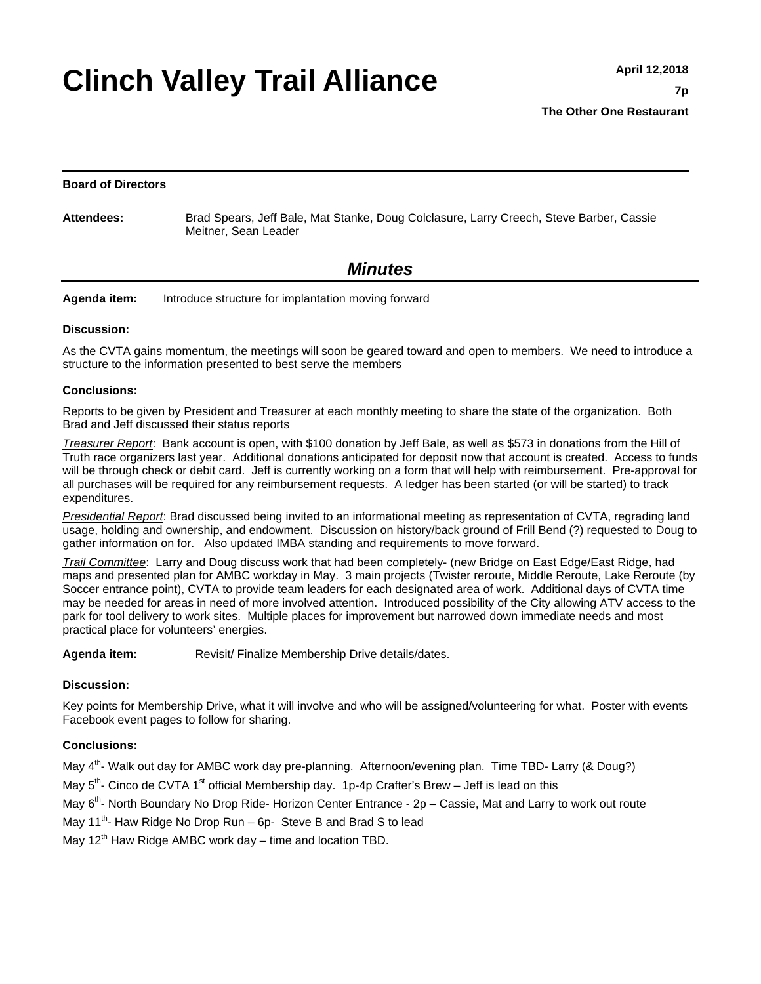# **Clinch Valley Trail Alliance**

### **Board of Directors**

**Attendees:** Brad Spears, Jeff Bale, Mat Stanke, Doug Colclasure, Larry Creech, Steve Barber, Cassie Meitner, Sean Leader

## *Minutes*

**Agenda item:** Introduce structure for implantation moving forward

#### **Discussion:**

As the CVTA gains momentum, the meetings will soon be geared toward and open to members. We need to introduce a structure to the information presented to best serve the members

#### **Conclusions:**

Reports to be given by President and Treasurer at each monthly meeting to share the state of the organization. Both Brad and Jeff discussed their status reports

*Treasurer Report*: Bank account is open, with \$100 donation by Jeff Bale, as well as \$573 in donations from the Hill of Truth race organizers last year. Additional donations anticipated for deposit now that account is created. Access to funds will be through check or debit card. Jeff is currently working on a form that will help with reimbursement. Pre-approval for all purchases will be required for any reimbursement requests. A ledger has been started (or will be started) to track expenditures.

*Presidential Report*: Brad discussed being invited to an informational meeting as representation of CVTA, regrading land usage, holding and ownership, and endowment. Discussion on history/back ground of Frill Bend (?) requested to Doug to gather information on for. Also updated IMBA standing and requirements to move forward.

*Trail Committee*: Larry and Doug discuss work that had been completely- (new Bridge on East Edge/East Ridge, had maps and presented plan for AMBC workday in May. 3 main projects (Twister reroute, Middle Reroute, Lake Reroute (by Soccer entrance point), CVTA to provide team leaders for each designated area of work. Additional days of CVTA time may be needed for areas in need of more involved attention. Introduced possibility of the City allowing ATV access to the park for tool delivery to work sites. Multiple places for improvement but narrowed down immediate needs and most practical place for volunteers' energies.

**Agenda item:** Revisit/ Finalize Membership Drive details/dates.

#### **Discussion:**

Key points for Membership Drive, what it will involve and who will be assigned/volunteering for what. Poster with events Facebook event pages to follow for sharing.

#### **Conclusions:**

May 4<sup>th</sup>- Walk out day for AMBC work day pre-planning. Afternoon/evening plan. Time TBD- Larry (& Doug?)

May  $5<sup>th</sup>$ - Cinco de CVTA 1<sup>st</sup> official Membership day. 1p-4p Crafter's Brew – Jeff is lead on this

May  $6<sup>th</sup>$ - North Boundary No Drop Ride- Horizon Center Entrance - 2p – Cassie, Mat and Larry to work out route

May 11<sup>th</sup>- Haw Ridge No Drop Run –  $6p-$  Steve B and Brad S to lead

May  $12<sup>th</sup>$  Haw Ridge AMBC work day – time and location TBD.